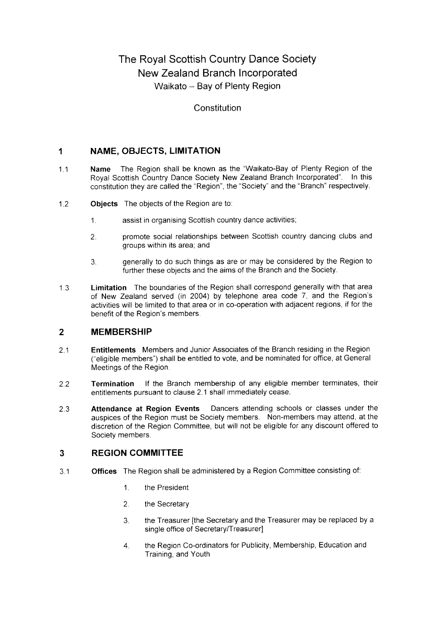# The Royal Scottish Country Dance Society New Zealand Branch lncorporated Waikato - Bay of Plenty Region

#### Constitution

#### NAME, OBJECTS, LIMITATION  $\mathbf 1$

- $1.1$ Name The Region shall be known as the "Waikato-Bay of Plenty Region of the Royal Scottish Country Dance Society New Zealand Branch Incorporated". In this constitution they are called the "Region", the "Society" and the "Branch" respectively.
- 1.2 Objects The objects of the Region are to.
	- 1. assist in organising Scottish country dance activities;
	- 2 promote social relationships between Scottish country dancing clubs and groups within its area; and
	- 3. generally to do such things as are or may be considered by the Region to further these obiects and the aims of the Branch and the Society.
- 1.3 Limitation The boundaries of the Region shall correspond generally with that area of New Zealand served (in 2004) by telephone area code 7, and the Region's activities will be limited to that area or in co-operation with adjacent regions, if for the benefit of the Region's members.

#### MEMBERSHIP  $\overline{2}$

- z.l Entitlements Members and Junior Associates of the Branch residing in the Region ("eligible members") shall be entitled to vote, and be nominated for office, at General Meetings of the Region.
- 2.2 Termination lf the Branch membership of any eligible member terminates, their entitlements pursuant to clause 2.1 shall immediately cease.
- 2.5 Attendance at Region Events Dancers attending schools or classes under the auspices of the Region must be Society members. Non-members may attend, at the discretion of the Region Committee, but will not be eligible for any discount offered to Society members.

#### $\overline{3}$ REGION COMMITTEE

- 3.1 Offices The Region shall be administered by a Region Committee consisting of:
	- 1. the President
	- 2. the Secretary
	- 3. the Treasurer [the Secretary and the Treasurer may be replaced by a single office of Secretary/Treasurer]
	- 4. the Region Co-ordinators for Publicity, Membership, Education and Training, and Youth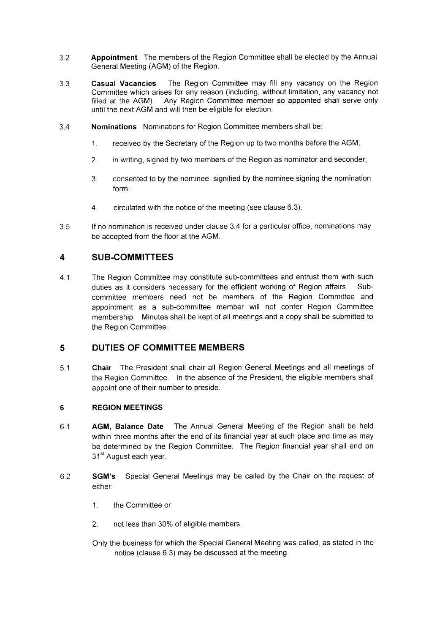- 3.2 Appointment The members of the Region Committee shall be elected by the Annual General Meeting (AGM) of the Region.
- 3.3 Casual Vacancies The Region Committee may fill any vacancy on the Region Committee which arises for any reason (including, without limitation, any vacancy not filled at the AGM). Any Region Committee member so appointed shall serve only until the next AGM and will then be eligible for election.
- 3.4 Nominations Nominations for Region Committee members shall be:
	- 1. received by the Secretary of the Region up to two months before the AGM;
	- 2. in writing, signed by two members of the Region as nominator and seconder,
	- 3. consented to by the nominee, signified by the nominee signing the nomination form;
	- 4. circulated with the notice of the meeting (see clause 6.3).
- 3.5 lf no nomination is received under clause 3.4 for a particular office, nominations may be acceoted from the floor at the AGM.

### 4 SUB.COMMITTEES

4.1 The Region Committee may constitute sub-committees and entrust them with such duties as it considers necessary for the efficient working of Region affairs. Subcommittee members need not be members of the Region Committee and appointment as a sub-committee member will not confer Region Committee membership. Minutes shall be kept of all meetings and a copy shall be submitted to the Region Committee.

### 5 DUTIES OF COMMITTEE MEMBERS

5.'l Chair The President shall chair all Region General Meetings and all meetings of the Region Committee. In the absence of the President, the eligible members shall appoint one of their number to preside.

#### 6 REGION MEETINGS

- 6.'1 AGM, Balance Date The Annual General Meeting of the Region shall be held within three months after the end of its financial year at such place and time as may be determined by the Region Committee. The Region financial year shall end on 31<sup>st</sup> August each year.
- 6.2 SGM's Special General Meetings may be called by the Chair on the request of either:
	- 1. the Committee or
	- 2, not less than 30% of eligible members.
	- Only the business for which the Special General Meeting was called, as stated in the notice (clause 6.3) may be discussed at the meeting.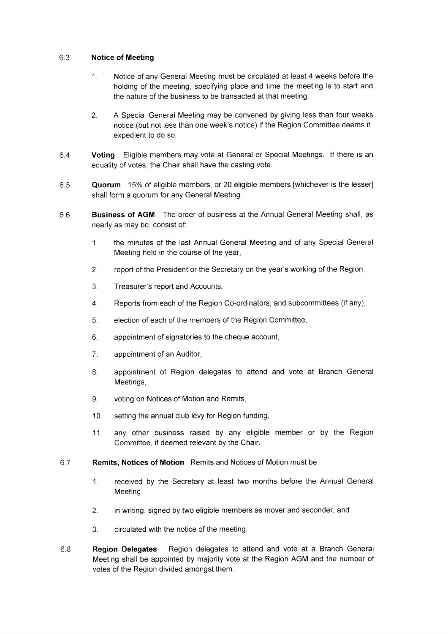#### 6.3 Notice of Meeting

- 1 Notice of any General Meeting must be circulated at least 4 weeks before the holding of the meeting, specifying place and time the meeting is to start and the nature of the business to be transacted at that meeting.
- 2. A Special General Meeting may be convened by giving less than four weeks notice (but not less than one week's notice) if the Region Committee deems it expedient to do so.
- 6.4 Voting Eligible members may vote at General or Special Meetings. lf there is an equality of votes, the Chair shall have the casting vote.
- 6.5 Quorum 15% of eligible members, or 20 eligible members [whichever is the lesser] shall form a quorum for any General Meeting.
- 6.6 Business of AGM The order of business at the Annual General Meeting shall, as nearly as may be, consist of:
	- 1. the minutes of the last Annual General Meeting and of any Special General Meeting held in the course of the year,
	- 2. report of the President or the Secretary on the year's working of the Region,
	- 3. Treasurer's report and Accounts,
	- 4. Reports from each of the Region Co-ordinators, and subcommittees (if any),
	- 5. election of each of the members of the Region Committee,
	- 6. appointment of signatories to the cheque account,
	- 7. appointment of an Auditor,
	- 8. appointment of Region delegates to attend and vote at Branch General Meetings.
	- 9. voting on Notices of Motion and Remits,
	- '10. setting the annual club levy for Region funding,
	- 11. any other business raised by any eligible member or by the Region Committee, if deemed relevant bv the Chair.
- 6.7 Remits. Notices of Motion Remits and Notices of Motion must be
	- 1. received by the Secretary at least two months before the Annual General Meetino:
	- 2. in writing, signed by two eligible members as mover and seconder, and
	- 3. circulated with the notice of the meeting.
- 6.8 Region Delegates Region delegates to attend and vote at a Branch General Meeting shall be appointed by majority vote at the Region AGM and the number of votes of the Reqion divided amonqst them.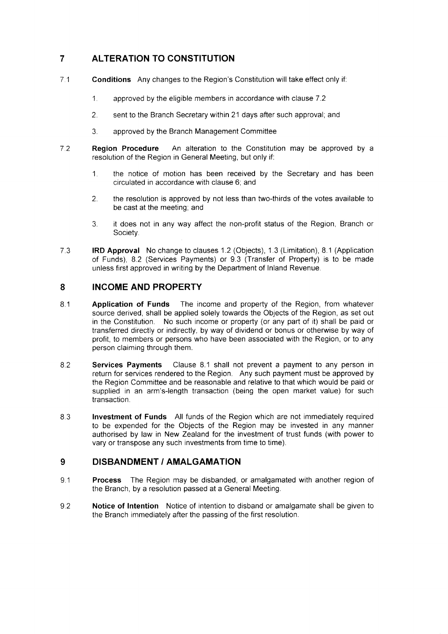# 7 ALTERATION TO CONSTITUTION

- 7.1 **Conditions** Any changes to the Region's Constitution will take effect only if:
	- 1. approved by the eligible members in accordance with clause 7.2
	- 2 sent to the Branch Secretary within 21 days after such approval; and
	- 3. approved by the Branch Management Committee
- 7.2 **Region Procedure** An alteration to the Constitution may be approved by a resolution of the Region in General Meeting, but only if:
	- 1. the notice of motion has been received by the Secretary and has been circulated in accordance with clause 6; and
	- 2. the resolution is approved by not less than two-thirds of the votes available to be cast at the meeting; and
	- 3. it does not in any way affect the non-profit status of the Region, Branch or Society.
- 7.3 IRD Approval No change to clauses 1.2 (Objects), 1.3 (Limitation), 8.1 (Application of Funds), 8.2 (Services Payments) or 9.3 (Transfer of Property) is to be made unless first approved in writing by the Department of Inland Revenue.

## 8 INCOME AND PROPERTY

- 8.1 **Application of Funds** The income and property of the Region, from whatever source derived, shall be applied solely towards the Objects of the Region, as set out in the Constitution. No such income or property (or any part of it) shall be paid or transferred directly or indirectly, by way of dividend or bonus or otherwise by way of profit, to members or persons who have been associated with the Region, or to any person claiming through them.
- 8.2 Services Payments Clause 8.1 shall not prevent a payment to any person in return for services rendered to the Region. Any such payment must be approved by the Region Committee and be reasonable and relative to that which would be paid or supplied in an arm's-length transaction (being the open market value) for such transaction
- 8 3 Investment of Funds All funds of the Region which are not immediately required to be expended for the Objects of the Region may be invested in any manner authorised by law in New Zealand for the investment of trust funds (with power to vary or transpose any such investments from time to time).

### 9 DISBANDMENT / AMALGAMATION

- 9.1 Process The Region may be disbanded, or amalgamated with another region of the Branch, by a resolution passed at a General Meeting.
- 9.2 Notice of Intention Notice of intention to disband or amalgamate shall be given to the Branch immediately after the passing of the first resolution.